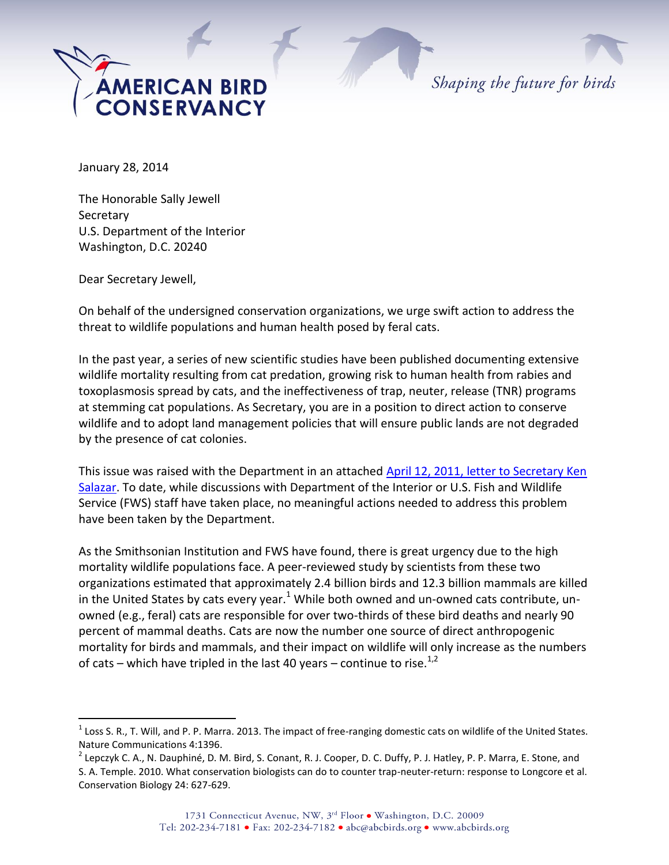

Shaping the future for birds

January 28, 2014

The Honorable Sally Jewell Secretary U.S. Department of the Interior Washington, D.C. 20240

Dear Secretary Jewell,

 $\overline{a}$ 

On behalf of the undersigned conservation organizations, we urge swift action to address the threat to wildlife populations and human health posed by feral cats.

In the past year, a series of new scientific studies have been published documenting extensive wildlife mortality resulting from cat predation, growing risk to human health from rabies and toxoplasmosis spread by cats, and the ineffectiveness of trap, neuter, release (TNR) programs at stemming cat populations. As Secretary, you are in a position to direct action to conserve wildlife and to adopt land management policies that will ensure public lands are not degraded by the presence of cat colonies.

This issue was raised with the Department in an attached [April 12, 2011, letter to Secretary Ken](http://www.abcbirds.org/pdfs/doi_letter_nat_sigs.pdf)  [Salazar.](http://www.abcbirds.org/pdfs/doi_letter_nat_sigs.pdf) To date, while discussions with Department of the Interior or U.S. Fish and Wildlife Service (FWS) staff have taken place, no meaningful actions needed to address this problem have been taken by the Department.

As the Smithsonian Institution and FWS have found, there is great urgency due to the high mortality wildlife populations face. A peer-reviewed study by scientists from these two organizations estimated that approximately 2.4 billion birds and 12.3 billion mammals are killed in the United States by cats every year. $1$  While both owned and un-owned cats contribute, unowned (e.g., feral) cats are responsible for over two-thirds of these bird deaths and nearly 90 percent of mammal deaths. Cats are now the number one source of direct anthropogenic mortality for birds and mammals, and their impact on wildlife will only increase as the numbers of cats – which have tripled in the last 40 years – continue to rise.<sup>1,2</sup>

 $^1$  Loss S. R., T. Will, and P. P. Marra. 2013. The impact of free-ranging domestic cats on wildlife of the United States. Nature Communications 4:1396.

 $^2$  Lepczyk C. A., N. Dauphiné, D. M. Bird, S. Conant, R. J. Cooper, D. C. Duffy, P. J. Hatley, P. P. Marra, E. Stone, and S. A. Temple. 2010. What conservation biologists can do to counter trap-neuter-return: response to Longcore et al. Conservation Biology 24: 627-629.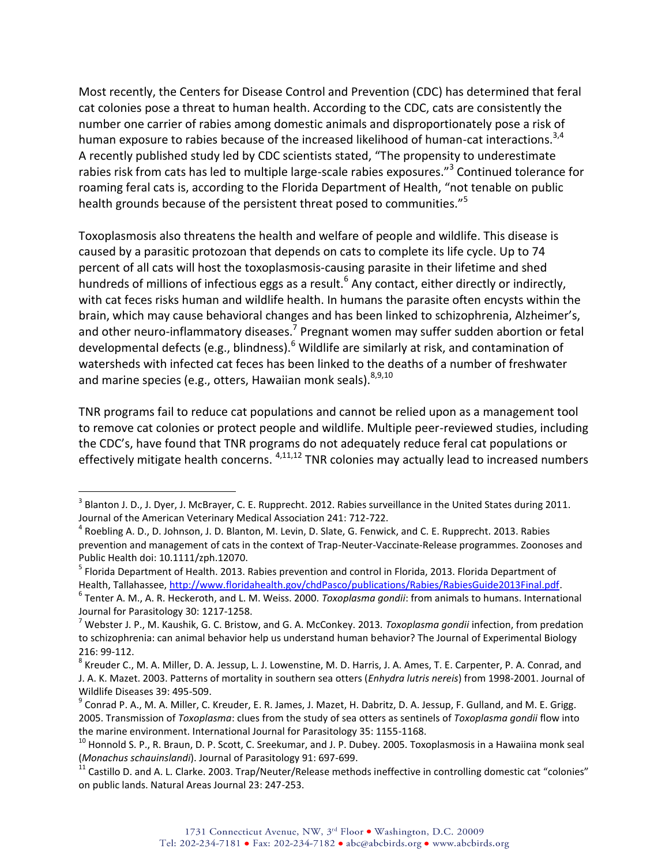Most recently, the Centers for Disease Control and Prevention (CDC) has determined that feral cat colonies pose a threat to human health. According to the CDC, cats are consistently the number one carrier of rabies among domestic animals and disproportionately pose a risk of human exposure to rabies because of the increased likelihood of human-cat interactions.<sup>3,4</sup> A recently published study led by CDC scientists stated, "The propensity to underestimate rabies risk from cats has led to multiple large-scale rabies exposures."<sup>3</sup> Continued tolerance for roaming feral cats is, according to the Florida Department of Health, "not tenable on public health grounds because of the persistent threat posed to communities."<sup>5</sup>

Toxoplasmosis also threatens the health and welfare of people and wildlife. This disease is caused by a parasitic protozoan that depends on cats to complete its life cycle. Up to 74 percent of all cats will host the toxoplasmosis-causing parasite in their lifetime and shed hundreds of millions of infectious eggs as a result.<sup>6</sup> Any contact, either directly or indirectly, with cat feces risks human and wildlife health. In humans the parasite often encysts within the brain, which may cause behavioral changes and has been linked to schizophrenia, Alzheimer's, and other neuro-inflammatory diseases.<sup>7</sup> Pregnant women may suffer sudden abortion or fetal developmental defects (e.g., blindness). $<sup>6</sup>$  Wildlife are similarly at risk, and contamination of</sup> watersheds with infected cat feces has been linked to the deaths of a number of freshwater and marine species (e.g., otters, Hawaiian monk seals).  $8,9,10$ 

TNR programs fail to reduce cat populations and cannot be relied upon as a management tool to remove cat colonies or protect people and wildlife. Multiple peer-reviewed studies, including the CDC's, have found that TNR programs do not adequately reduce feral cat populations or effectively mitigate health concerns.  $4,11,12$  TNR colonies may actually lead to increased numbers

 $\overline{a}$ 

 $^3$  Blanton J. D., J. Dyer, J. McBrayer, C. E. Rupprecht. 2012. Rabies surveillance in the United States during 2011. Journal of the American Veterinary Medical Association 241: 712-722.

<sup>&</sup>lt;sup>4</sup> Roebling A. D., D. Johnson, J. D. Blanton, M. Levin, D. Slate, G. Fenwick, and C. E. Rupprecht. 2013. Rabies prevention and management of cats in the context of Trap-Neuter-Vaccinate-Release programmes. Zoonoses and Public Health doi: 10.1111/zph.12070.

<sup>&</sup>lt;sup>5</sup> Florida Department of Health. 2013. Rabies prevention and control in Florida, 2013. Florida Department of Health, Tallahassee, [http://www.floridahealth.gov/chdPasco/publications/Rabies/RabiesGuide2013Final.pdf.](http://www.floridahealth.gov/chdPasco/publications/Rabies/RabiesGuide2013Final.pdf)

<sup>6</sup> Tenter A. M., A. R. Heckeroth, and L. M. Weiss. 2000. *Toxoplasma gondii*: from animals to humans. International Journal for Parasitology 30: 1217-1258.

<sup>7</sup> Webster J. P., M. Kaushik, G. C. Bristow, and G. A. McConkey. 2013. *Toxoplasma gondii* infection, from predation to schizophrenia: can animal behavior help us understand human behavior? The Journal of Experimental Biology 216: 99-112.

<sup>&</sup>lt;sup>8</sup> Kreuder C., M. A. Miller, D. A. Jessup, L. J. Lowenstine, M. D. Harris, J. A. Ames, T. E. Carpenter, P. A. Conrad, and J. A. K. Mazet. 2003. Patterns of mortality in southern sea otters (*Enhydra lutris nereis*) from 1998-2001. Journal of Wildlife Diseases 39: 495-509.

<sup>&</sup>lt;sup>9</sup> Conrad P. A., M. A. Miller, C. Kreuder, E. R. James, J. Mazet, H. Dabritz, D. A. Jessup, F. Gulland, and M. E. Grigg. 2005. Transmission of *Toxoplasma*: clues from the study of sea otters as sentinels of *Toxoplasma gondii* flow into the marine environment. International Journal for Parasitology 35: 1155-1168.

<sup>&</sup>lt;sup>10</sup> Honnold S. P., R. Braun, D. P. Scott, C. Sreekumar, and J. P. Dubey. 2005. Toxoplasmosis in a Hawaiina monk seal (*Monachus schauinslandi*). Journal of Parasitology 91: 697-699.

 $^{11}$  Castillo D. and A. L. Clarke. 2003. Trap/Neuter/Release methods ineffective in controlling domestic cat "colonies" on public lands. Natural Areas Journal 23: 247-253.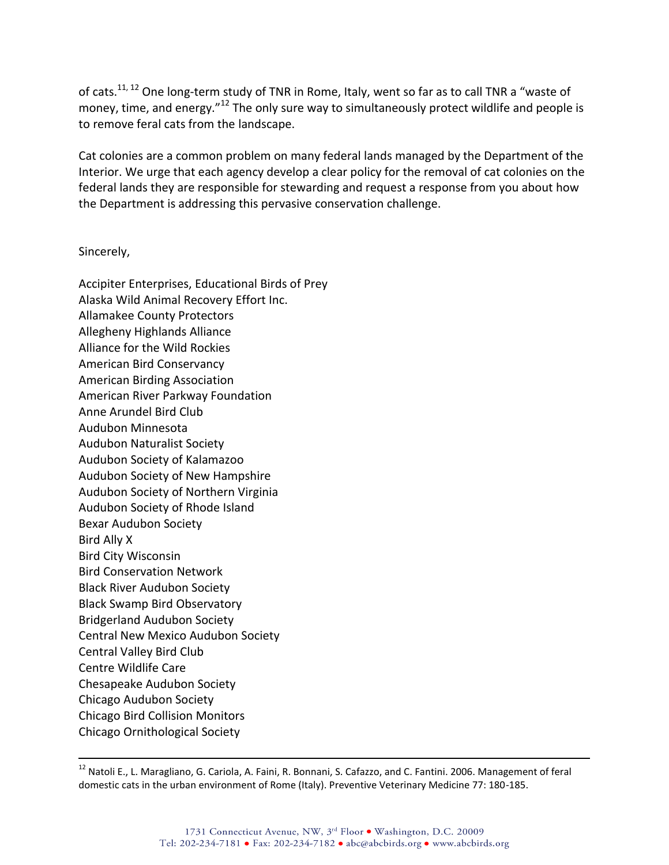of cats.<sup>11, 12</sup> One long-term study of TNR in Rome, Italy, went so far as to call TNR a "waste of money, time, and energy."<sup>12</sup> The only sure way to simultaneously protect wildlife and people is to remove feral cats from the landscape.

Cat colonies are a common problem on many federal lands managed by the Department of the Interior. We urge that each agency develop a clear policy for the removal of cat colonies on the federal lands they are responsible for stewarding and request a response from you about how the Department is addressing this pervasive conservation challenge.

Sincerely,

 $\overline{a}$ 

Accipiter Enterprises, Educational Birds of Prey Alaska Wild Animal Recovery Effort Inc. Allamakee County Protectors Allegheny Highlands Alliance Alliance for the Wild Rockies American Bird Conservancy American Birding Association American River Parkway Foundation Anne Arundel Bird Club Audubon Minnesota Audubon Naturalist Society Audubon Society of Kalamazoo Audubon Society of New Hampshire Audubon Society of Northern Virginia Audubon Society of Rhode Island Bexar Audubon Society Bird Ally X Bird City Wisconsin Bird Conservation Network Black River Audubon Society Black Swamp Bird Observatory Bridgerland Audubon Society Central New Mexico Audubon Society Central Valley Bird Club Centre Wildlife Care Chesapeake Audubon Society Chicago Audubon Society Chicago Bird Collision Monitors Chicago Ornithological Society

<sup>&</sup>lt;sup>12</sup> Natoli E., L. Maragliano, G. Cariola, A. Faini, R. Bonnani, S. Cafazzo, and C. Fantini. 2006. Management of feral domestic cats in the urban environment of Rome (Italy). Preventive Veterinary Medicine 77: 180-185.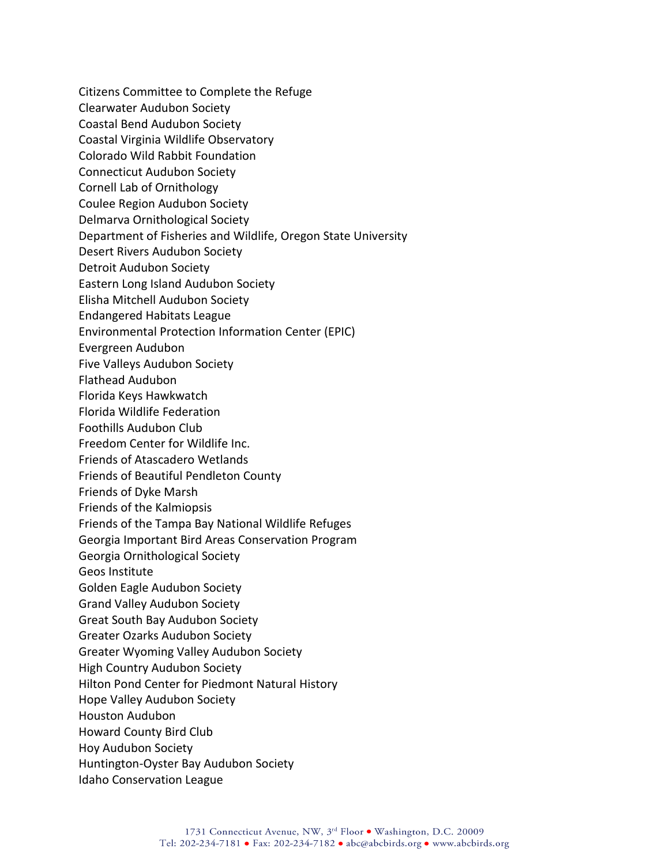Citizens Committee to Complete the Refuge Clearwater Audubon Society Coastal Bend Audubon Society Coastal Virginia Wildlife Observatory Colorado Wild Rabbit Foundation Connecticut Audubon Society Cornell Lab of Ornithology Coulee Region Audubon Society Delmarva Ornithological Society Department of Fisheries and Wildlife, Oregon State University Desert Rivers Audubon Society Detroit Audubon Society Eastern Long Island Audubon Society Elisha Mitchell Audubon Society Endangered Habitats League Environmental Protection Information Center (EPIC) Evergreen Audubon Five Valleys Audubon Society Flathead Audubon Florida Keys Hawkwatch Florida Wildlife Federation Foothills Audubon Club Freedom Center for Wildlife Inc. Friends of Atascadero Wetlands Friends of Beautiful Pendleton County Friends of Dyke Marsh Friends of the Kalmiopsis Friends of the Tampa Bay National Wildlife Refuges Georgia Important Bird Areas Conservation Program Georgia Ornithological Society Geos Institute Golden Eagle Audubon Society Grand Valley Audubon Society Great South Bay Audubon Society Greater Ozarks Audubon Society Greater Wyoming Valley Audubon Society High Country Audubon Society Hilton Pond Center for Piedmont Natural History Hope Valley Audubon Society Houston Audubon Howard County Bird Club Hoy Audubon Society Huntington-Oyster Bay Audubon Society Idaho Conservation League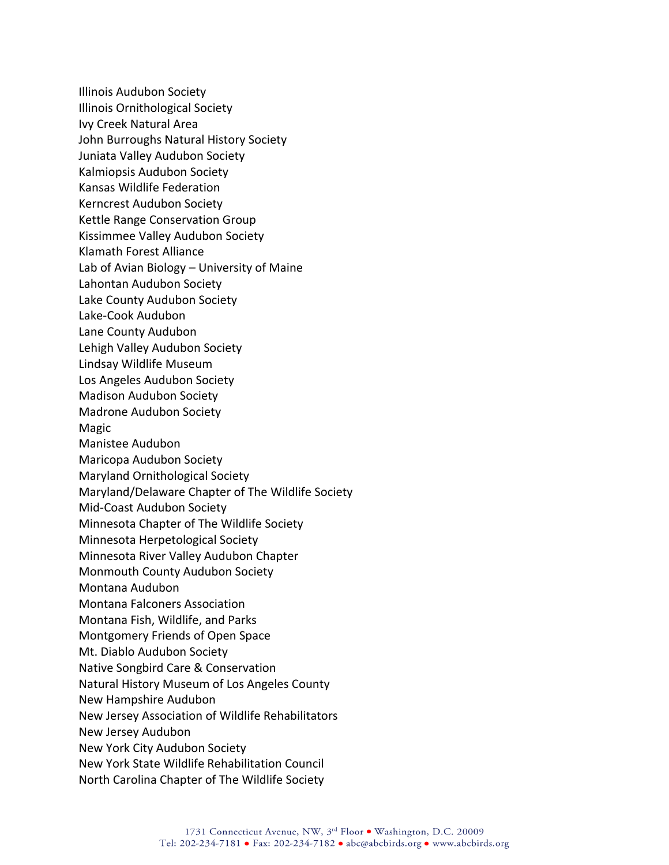Illinois Audubon Society Illinois Ornithological Society Ivy Creek Natural Area John Burroughs Natural History Society Juniata Valley Audubon Society Kalmiopsis Audubon Society Kansas Wildlife Federation Kerncrest Audubon Society Kettle Range Conservation Group Kissimmee Valley Audubon Society Klamath Forest Alliance Lab of Avian Biology – University of Maine Lahontan Audubon Society Lake County Audubon Society Lake-Cook Audubon Lane County Audubon Lehigh Valley Audubon Society Lindsay Wildlife Museum Los Angeles Audubon Society Madison Audubon Society Madrone Audubon Society Magic Manistee Audubon Maricopa Audubon Society Maryland Ornithological Society Maryland/Delaware Chapter of The Wildlife Society Mid-Coast Audubon Society Minnesota Chapter of The Wildlife Society Minnesota Herpetological Society Minnesota River Valley Audubon Chapter Monmouth County Audubon Society Montana Audubon Montana Falconers Association Montana Fish, Wildlife, and Parks Montgomery Friends of Open Space Mt. Diablo Audubon Society Native Songbird Care & Conservation Natural History Museum of Los Angeles County New Hampshire Audubon New Jersey Association of Wildlife Rehabilitators New Jersey Audubon New York City Audubon Society New York State Wildlife Rehabilitation Council North Carolina Chapter of The Wildlife Society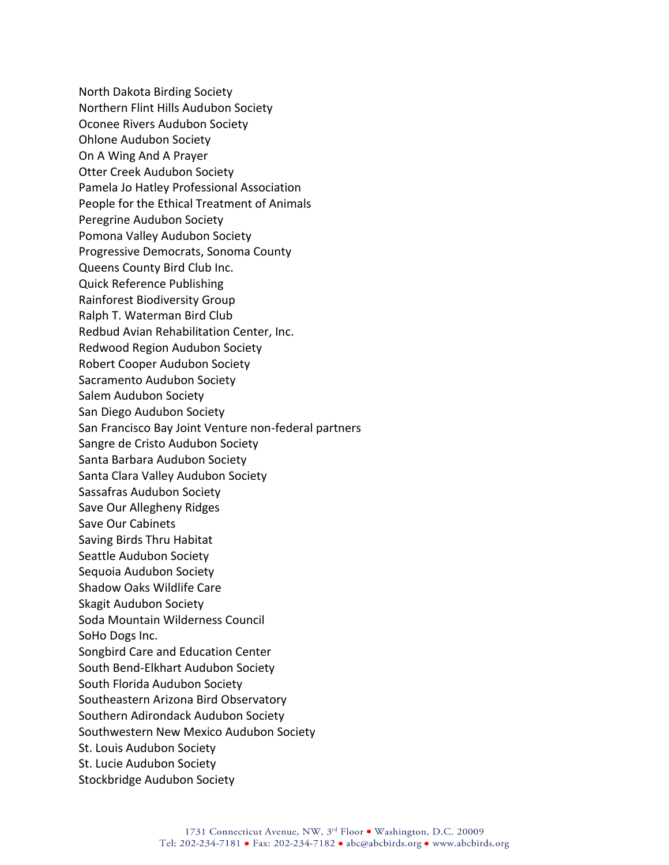North Dakota Birding Society Northern Flint Hills Audubon Society Oconee Rivers Audubon Society Ohlone Audubon Society On A Wing And A Prayer Otter Creek Audubon Society Pamela Jo Hatley Professional Association People for the Ethical Treatment of Animals Peregrine Audubon Society Pomona Valley Audubon Society Progressive Democrats, Sonoma County Queens County Bird Club Inc. Quick Reference Publishing Rainforest Biodiversity Group Ralph T. Waterman Bird Club Redbud Avian Rehabilitation Center, Inc. Redwood Region Audubon Society Robert Cooper Audubon Society Sacramento Audubon Society Salem Audubon Society San Diego Audubon Society San Francisco Bay Joint Venture non-federal partners Sangre de Cristo Audubon Society Santa Barbara Audubon Society Santa Clara Valley Audubon Society Sassafras Audubon Society Save Our Allegheny Ridges Save Our Cabinets Saving Birds Thru Habitat Seattle Audubon Society Sequoia Audubon Society Shadow Oaks Wildlife Care Skagit Audubon Society Soda Mountain Wilderness Council SoHo Dogs Inc. Songbird Care and Education Center South Bend-Elkhart Audubon Society South Florida Audubon Society Southeastern Arizona Bird Observatory Southern Adirondack Audubon Society Southwestern New Mexico Audubon Society St. Louis Audubon Society St. Lucie Audubon Society Stockbridge Audubon Society